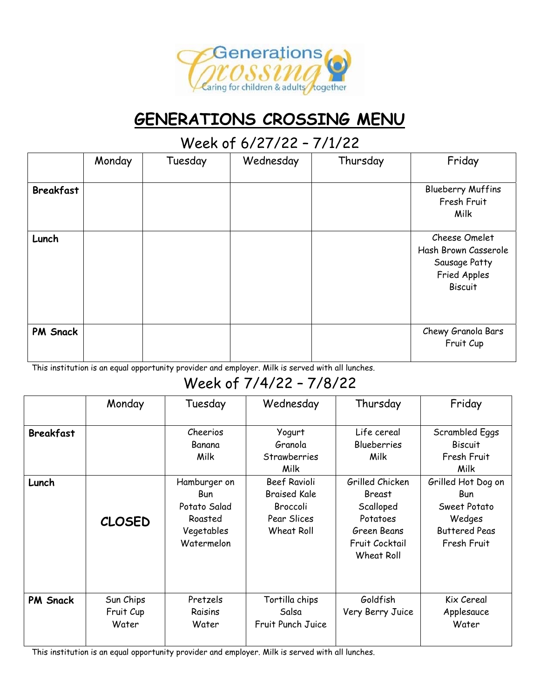

# **GENERATIONS CROSSING MENU**

### Week of 6/27/22 – 7/1/22

|                  | Monday | Tuesday | Wednesday | Thursday | Friday                                                                                   |
|------------------|--------|---------|-----------|----------|------------------------------------------------------------------------------------------|
| <b>Breakfast</b> |        |         |           |          | <b>Blueberry Muffins</b><br>Fresh Fruit<br>Milk                                          |
| Lunch            |        |         |           |          | Cheese Omelet<br>Hash Brown Casserole<br>Sausage Patty<br>Fried Apples<br><b>Biscuit</b> |
| <b>PM Snack</b>  |        |         |           |          | Chewy Granola Bars<br>Fruit Cup                                                          |

This institution is an equal opportunity provider and employer. Milk is served with all lunches.

## Week of 7/4/22 – 7/8/22

|                  | Monday                          | Tuesday                                                                           | Wednesday                                                                    | Thursday                                                                                          | Friday                                                                                            |
|------------------|---------------------------------|-----------------------------------------------------------------------------------|------------------------------------------------------------------------------|---------------------------------------------------------------------------------------------------|---------------------------------------------------------------------------------------------------|
| <b>Breakfast</b> |                                 | Cheerios<br>Banana<br>Milk                                                        | Yogurt<br>Granola<br><b>Strawberries</b><br>Milk                             | Life cereal<br><b>Blueberries</b><br>Milk                                                         | Scrambled Eggs<br><b>Biscuit</b><br>Fresh Fruit<br>Milk                                           |
| Lunch            | <b>CLOSED</b>                   | Hamburger on<br><b>Bun</b><br>Potato Salad<br>Roasted<br>Vegetables<br>Watermelon | Beef Ravioli<br><b>Braised Kale</b><br>Broccoli<br>Pear Slices<br>Wheat Roll | Grilled Chicken<br>Breast<br>Scalloped<br>Potatoes<br>Green Beans<br>Fruit Cocktail<br>Wheat Roll | Grilled Hot Dog on<br><b>Bun</b><br>Sweet Potato<br>Wedges<br><b>Buttered Peas</b><br>Fresh Fruit |
| <b>PM Snack</b>  | Sun Chips<br>Fruit Cup<br>Water | Pretzels<br>Raisins<br>Water                                                      | Tortilla chips<br>Salsa<br>Fruit Punch Juice                                 | Goldfish<br>Very Berry Juice                                                                      | Kix Cereal<br>Applesauce<br>Water                                                                 |

This institution is an equal opportunity provider and employer. Milk is served with all lunches.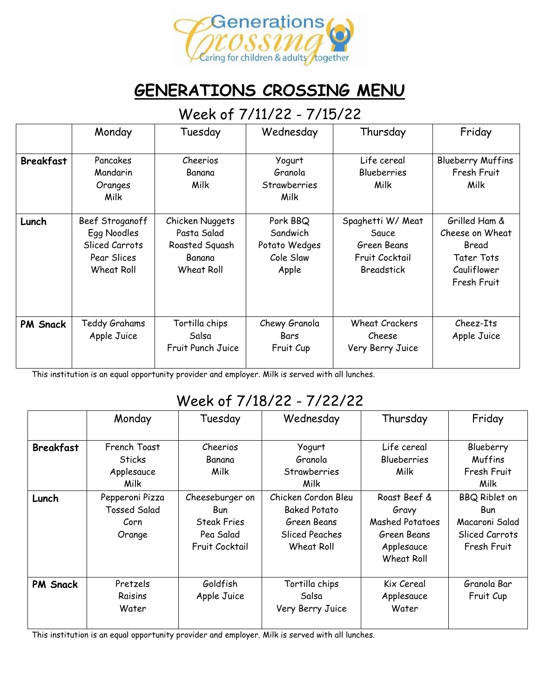

## **GENERATIONS CROSSING MENU**

#### Week of 7/11/22 - 7/15/22

|                  | Monday                                                                        | Tuesday                                                                  | Wednesday                                                   | Thursday                                                                         | Friday                                                                                       |
|------------------|-------------------------------------------------------------------------------|--------------------------------------------------------------------------|-------------------------------------------------------------|----------------------------------------------------------------------------------|----------------------------------------------------------------------------------------------|
| <b>Breakfast</b> | Pancakes<br>Mandarin<br>Oranges<br>Milk                                       | Cheerios<br>Banana<br>Milk                                               | Yogurt<br>Granola<br>Strawberries<br>Milk                   | Life cereal<br><b>Blueberries</b><br>Milk                                        | <b>Blueberry Muffins</b><br>Fresh Fruit<br>Milk                                              |
| Lunch            | Beef Stroganoff<br>Egg Noodles<br>Sliced Carrots<br>Pear Slices<br>Wheat Roll | Chicken Nuggets<br>Pasta Salad<br>Roasted Squash<br>Banana<br>Wheat Roll | Pork BBQ<br>Sandwich<br>Potato Wedges<br>Cole Slaw<br>Apple | Spaghetti W/ Meat<br>Sauce<br>Green Beans<br>Fruit Cocktail<br><b>Breadstick</b> | Grilled Ham &<br>Cheese on Wheat<br>Bread<br><b>Tater Tots</b><br>Cauliflower<br>Fresh Fruit |
| <b>PM Snack</b>  | Teddy Grahams<br>Apple Juice                                                  | Tortilla chips<br>Salsa<br>Fruit Punch Juice                             | Chewy Granola<br>Bars<br>Fruit Cup                          | <b>Wheat Crackers</b><br>Cheese<br>Very Berry Juice                              | Cheez-Its<br>Apple Juice                                                                     |

This institution is an equal opportunity provider and employer. Milk is served with all lunches.

### Week of 7/18/22 - 7/22/22

|                  | Monday                                                   | Tuesday                                                                            | Wednesday                                                                                        | Thursday                                                                                          | Friday                                                                                |
|------------------|----------------------------------------------------------|------------------------------------------------------------------------------------|--------------------------------------------------------------------------------------------------|---------------------------------------------------------------------------------------------------|---------------------------------------------------------------------------------------|
| <b>Breakfast</b> | French Toast<br><b>Sticks</b><br>Applesauce<br>Milk      | Cheerios<br>Banana<br>Milk                                                         | Yogurt<br>Granola<br><b>Strawberries</b><br>Milk                                                 | Life cereal<br><b>Blueberries</b><br>Milk                                                         | Blueberry<br><b>Muffins</b><br>Fresh Fruit<br>Milk                                    |
| Lunch            | Pepperoni Pizza<br><b>Tossed Salad</b><br>Corn<br>Orange | Cheeseburger on<br><b>Bun</b><br><b>Steak Fries</b><br>Pea Salad<br>Fruit Cocktail | Chicken Cordon Bleu<br><b>Baked Potato</b><br>Green Beans<br><b>Sliced Peaches</b><br>Wheat Roll | Roast Beef &<br>Gravy<br><b>Mashed Potatoes</b><br>Green Beans<br>Applesauce<br><b>Wheat Roll</b> | <b>BBQ Riblet on</b><br><b>Bun</b><br>Macaroni Salad<br>Sliced Carrots<br>Fresh Fruit |
| <b>PM Snack</b>  | Pretzels<br>Raisins<br>Water                             | Goldfish<br>Apple Juice                                                            | Tortilla chips<br>Salsa<br>Very Berry Juice                                                      | Kix Cereal<br>Applesauce<br>Water                                                                 | Granola Bar<br>Fruit Cup                                                              |

This institution is an equal opportunity provider and employer. Milk is served with all lunches.